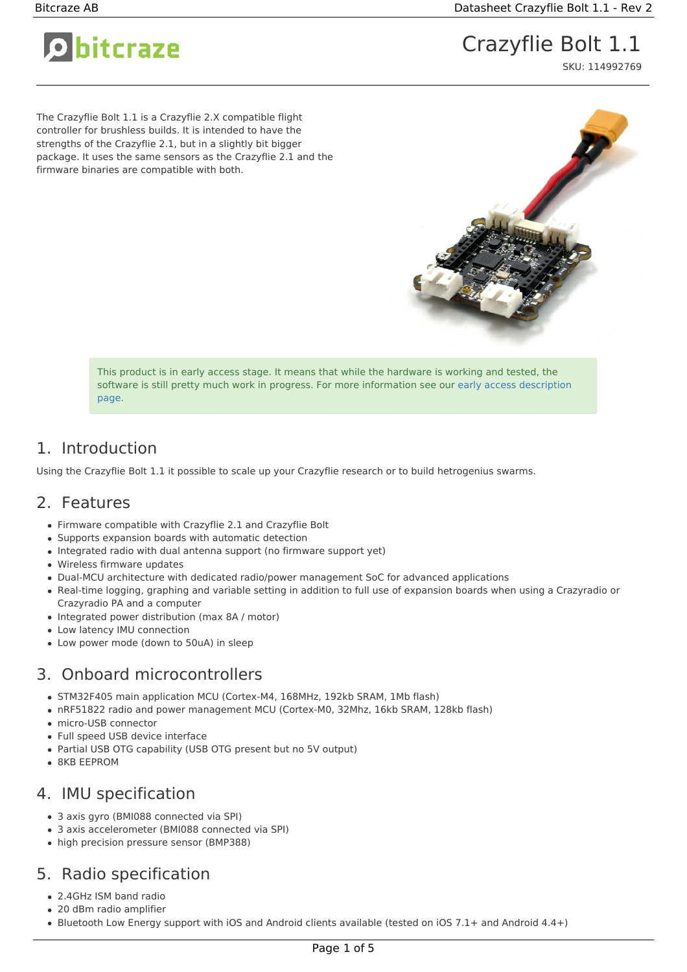O bitcraze

# Crazyflie Bolt 1.1

SKU: 114992769

The Crazyflie Bolt 1.1 is a Crazyflie 2.X compatible flight controller for brushless builds. It is intended to have the strengths of the Crazyflie 2.1, but in a slightly bit bigger package. It uses the same sensors as the Crazyflie 2.1 and the firmware binaries are compatible with both.



This product is in early access stage. It means that while the hardware is working and tested, the software is still pretty much work in progress. For more [information](https://www.bitcraze.io/early-access/) see our early access description page.

### 1. Introduction

Using the Crazyflie Bolt 1.1 it possible to scale up your Crazyflie research or to build hetrogenius swarms.

### 2. Features

- Firmware compatible with Crazyflie 2.1 and Crazyflie Bolt
- Supports expansion boards with automatic detection
- Integrated radio with dual antenna support (no firmware support yet)
- Wireless firmware updates
- Dual-MCU architecture with dedicated radio/power management SoC for advanced applications
- Real-time logging, graphing and variable setting in addition to full use of expansion boards when using a Crazyradio or Crazyradio PA and a computer
- Integrated power distribution (max 8A / motor)
- Low latency IMU connection
- Low power mode (down to 50uA) in sleep

### 3. Onboard microcontrollers

- STM32F405 main application MCU (Cortex-M4, 168MHz, 192kb SRAM, 1Mb flash)
- nRF51822 radio and power management MCU (Cortex-M0, 32Mhz, 16kb SRAM, 128kb flash)
- micro-USB connector
- Full speed USB device interface
- Partial USB OTG capability (USB OTG present but no 5V output)
- 8KB EEPROM

#### 4. IMU specification

- 3 axis gyro (BMI088 connected via SPI)
- 3 axis accelerometer (BMI088 connected via SPI)
- high precision pressure sensor (BMP388)

# 5. Radio specification

- 2.4GHz ISM band radio
- 20 dBm radio amplifier
- Bluetooth Low Energy support with iOS and Android clients available (tested on iOS 7.1+ and Android 4.4+)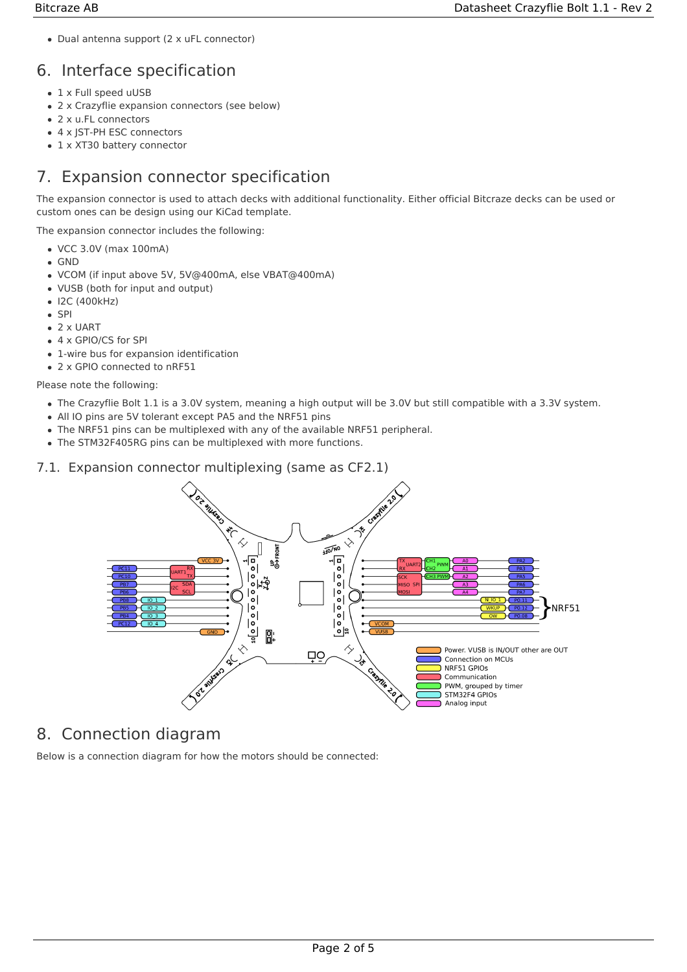Dual antenna support (2 x uFL connector)

# 6. Interface specification

- 1 x Full speed uUSB
- 2 x Crazyflie expansion connectors (see below)
- 2 x u.FL connectors
- 4 x JST-PH ESC connectors
- 1 x XT30 battery connector

# 7. Expansion connector specification

The expansion connector is used to attach decks with additional functionality. Either official Bitcraze decks can be used or custom ones can be design using our KiCad template.

The expansion connector includes the following:

- VCC 3.0V (max 100mA)
- GND
- VCOM (if input above 5V, 5V@400mA, else VBAT@400mA)
- VUSB (both for input and output)
- $\bullet$  I2C (400kHz)
- $\bullet$  SPI
- 2 x UART
- 4 x GPIO/CS for SPI
- 1-wire bus for expansion identification
- 2 x GPIO connected to nRF51

Please note the following:

- The Crazyflie Bolt 1.1 is a 3.0V system, meaning a high output will be 3.0V but still compatible with a 3.3V system.
- All IO pins are 5V tolerant except PA5 and the NRF51 pins
- The NRF51 pins can be multiplexed with any of the available NRF51 peripheral.
- The STM32F405RG pins can be multiplexed with more functions.

#### 7.1. Expansion connector multiplexing (same as CF2.1)



# 8. Connection diagram

Below is a connection diagram for how the motors should be connected: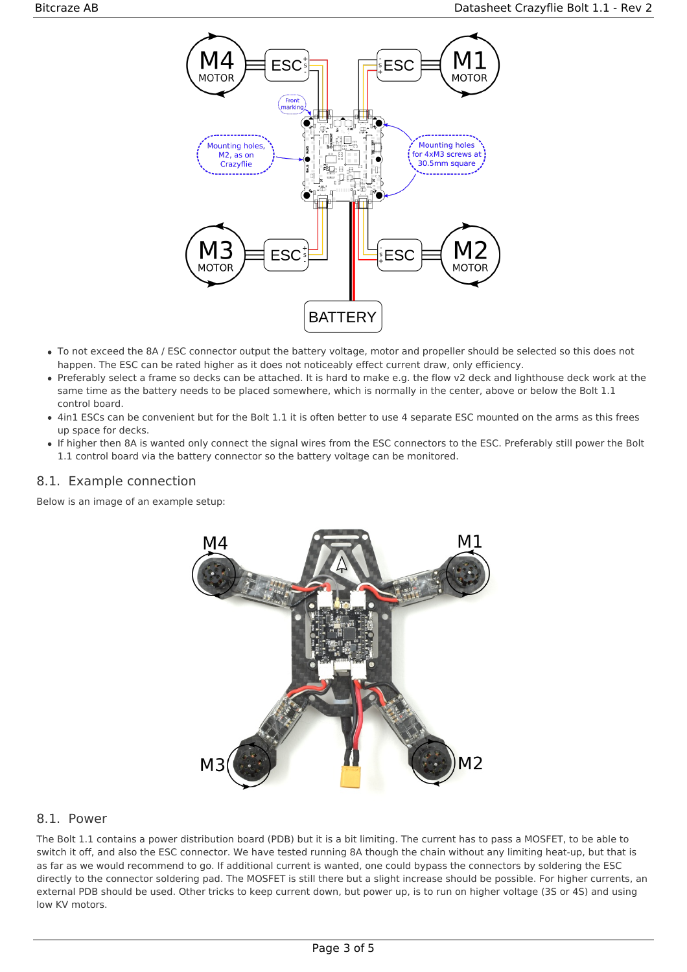

- To not exceed the 8A / ESC connector output the battery voltage, motor and propeller should be selected so this does not happen. The ESC can be rated higher as it does not noticeably effect current draw, only efficiency.
- Preferably select a frame so decks can be attached. It is hard to make e.g. the flow v2 deck and lighthouse deck work at the same time as the battery needs to be placed somewhere, which is normally in the center, above or below the Bolt 1.1 control board.
- 4in1 ESCs can be convenient but for the Bolt 1.1 it is often better to use 4 separate ESC mounted on the arms as this frees up space for decks.
- If higher then 8A is wanted only connect the signal wires from the ESC connectors to the ESC. Preferably still power the Bolt 1.1 control board via the battery connector so the battery voltage can be monitored.

#### 8.1. Example connection

Below is an image of an example setup:



#### 8.1. Power

The Bolt 1.1 contains a power distribution board (PDB) but it is a bit limiting. The current has to pass a MOSFET, to be able to switch it off, and also the ESC connector. We have tested running 8A though the chain without any limiting heat-up, but that is as far as we would recommend to go. If additional current is wanted, one could bypass the connectors by soldering the ESC directly to the connector soldering pad. The MOSFET is still there but a slight increase should be possible. For higher currents, an external PDB should be used. Other tricks to keep current down, but power up, is to run on higher voltage (3S or 4S) and using low KV motors.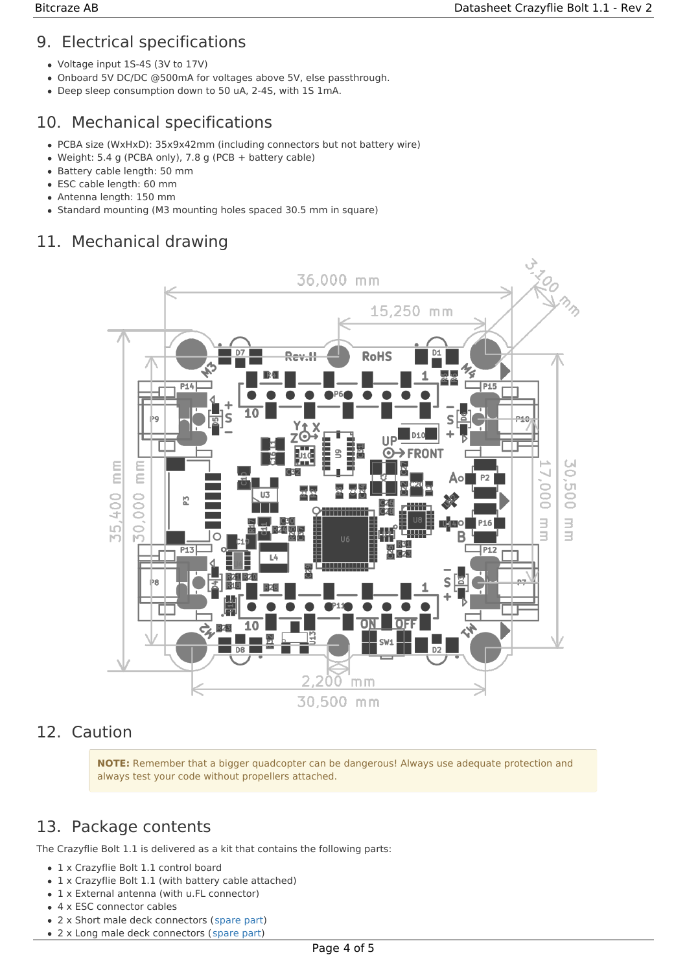## 9. Electrical specifications

- Voltage input 1S-4S (3V to 17V)
- Onboard 5V DC/DC @500mA for voltages above 5V, else passthrough.
- Deep sleep consumption down to 50 uA, 2-4S, with 1S 1mA.

# 10. Mechanical specifications

- PCBA size (WxHxD): 35x9x42mm (including connectors but not battery wire)
- Weight: 5.4 g (PCBA only), 7.8 g (PCB + battery cable)
- Battery cable length: 50 mm
- ESC cable length: 60 mm
- Antenna length: 150 mm
- Standard mounting (M3 mounting holes spaced 30.5 mm in square)

## 11. Mechanical drawing



### 12. Caution

**NOTE:** Remember that a bigger quadcopter can be dangerous! Always use adequate protection and always test your code without propellers attached.

### 13. Package contents

The Crazyflie Bolt 1.1 is delivered as a kit that contains the following parts:

- 1 x Crazyflie Bolt 1.1 control board
- 1 x Crazyflie Bolt 1.1 (with battery cable attached)
- 1 x External antenna (with u.FL connector)
- 4 x ESC connector cables
- 2 x Short male deck connectors [\(spare](https://bitcraze.myshopify.com/collections/spare-parts-crazyflie-2-0/products/male-deck-connector) part)
- 2 x Long male deck connectors ([spare](https://bitcraze.myshopify.com/collections/spare-parts-crazyflie-2-0/products/male-deck-connector) part)